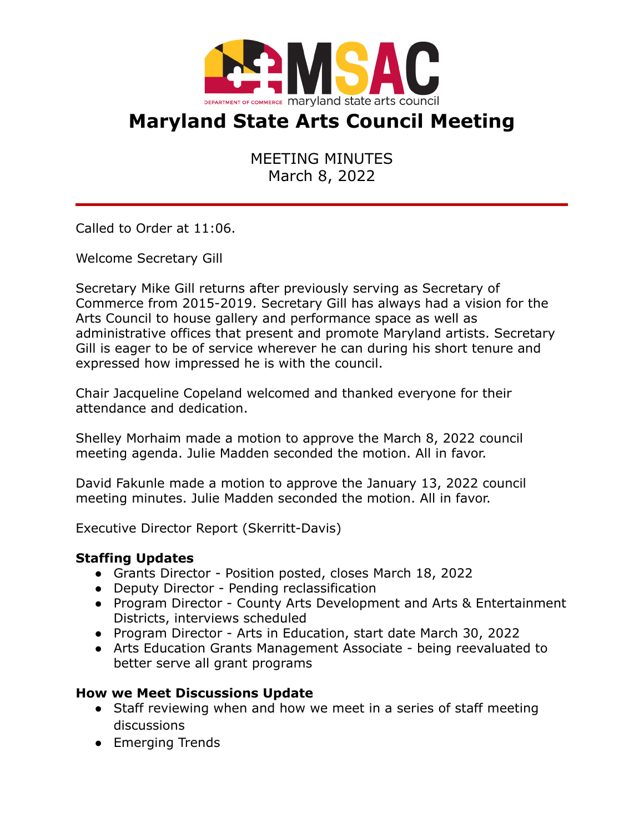

# **Maryland State Arts Council Meeting**

MEETING MINUTES March 8, 2022

Called to Order at 11:06.

Welcome Secretary Gill

Secretary Mike Gill returns after previously serving as Secretary of Commerce from 2015-2019. Secretary Gill has always had a vision for the Arts Council to house gallery and performance space as well as administrative offices that present and promote Maryland artists. Secretary Gill is eager to be of service wherever he can during his short tenure and expressed how impressed he is with the council.

Chair Jacqueline Copeland welcomed and thanked everyone for their attendance and dedication.

Shelley Morhaim made a motion to approve the March 8, 2022 council meeting agenda. Julie Madden seconded the motion. All in favor.

David Fakunle made a motion to approve the January 13, 2022 council meeting minutes. Julie Madden seconded the motion. All in favor.

Executive Director Report (Skerritt-Davis)

#### **Staffing Updates**

- Grants Director Position posted, closes March 18, 2022
- Deputy Director Pending reclassification
- Program Director County Arts Development and Arts & Entertainment Districts, interviews scheduled
- Program Director Arts in Education, start date March 30, 2022
- Arts Education Grants Management Associate being reevaluated to better serve all grant programs

## **How we Meet Discussions Update**

- Staff reviewing when and how we meet in a series of staff meeting discussions
- Emerging Trends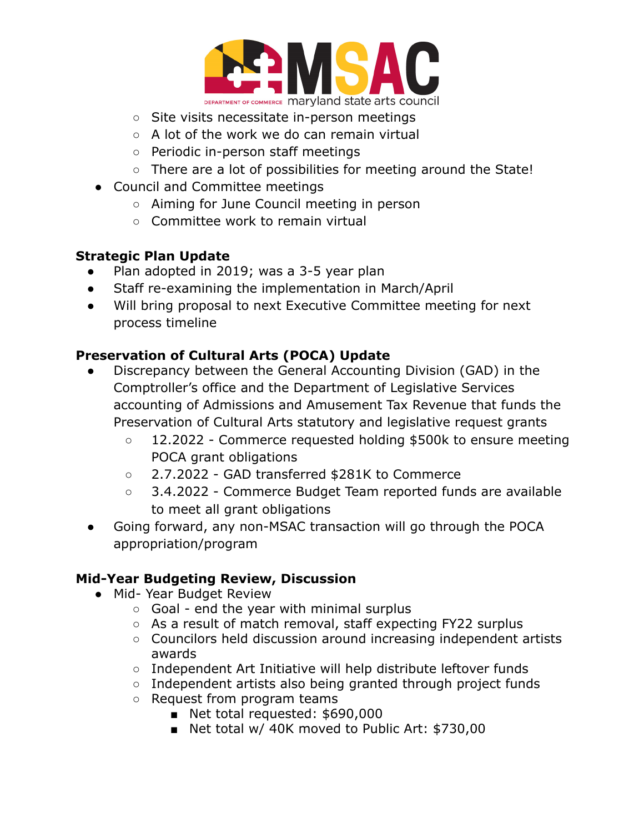

- Site visits necessitate in-person meetings
- $\circ$  A lot of the work we do can remain virtual
- Periodic in-person staff meetings
- There are a lot of possibilities for meeting around the State!
- Council and Committee meetings
	- Aiming for June Council meeting in person
	- Committee work to remain virtual

## **Strategic Plan Update**

- Plan adopted in 2019; was a 3-5 year plan
- Staff re-examining the implementation in March/April
- Will bring proposal to next Executive Committee meeting for next process timeline

## **Preservation of Cultural Arts (POCA) Update**

- Discrepancy between the General Accounting Division (GAD) in the Comptroller's office and the Department of Legislative Services accounting of Admissions and Amusement Tax Revenue that funds the Preservation of Cultural Arts statutory and legislative request grants
	- 12.2022 Commerce requested holding \$500k to ensure meeting POCA grant obligations
	- 2.7.2022 GAD transferred \$281K to Commerce
	- 3.4.2022 Commerce Budget Team reported funds are available to meet all grant obligations
- Going forward, any non-MSAC transaction will go through the POCA appropriation/program

## **Mid-Year Budgeting Review, Discussion**

- Mid- Year Budget Review
	- Goal end the year with minimal surplus
	- As a result of match removal, staff expecting FY22 surplus
	- Councilors held discussion around increasing independent artists awards
	- Independent Art Initiative will help distribute leftover funds
	- Independent artists also being granted through project funds
	- Request from program teams
		- Net total requested: \$690,000
		- Net total w/ 40K moved to Public Art: \$730,00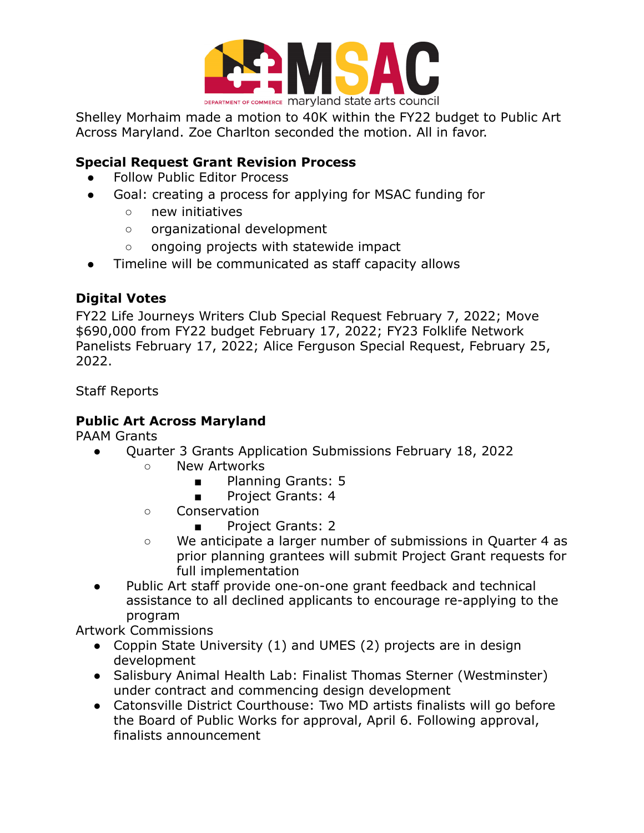

Shelley Morhaim made a motion to 40K within the FY22 budget to Public Art Across Maryland. Zoe Charlton seconded the motion. All in favor.

## **Special Request Grant Revision Process**

- **Follow Public Editor Process**
- Goal: creating a process for applying for MSAC funding for
	- new initiatives
	- organizational development
	- ongoing projects with statewide impact
- Timeline will be communicated as staff capacity allows

## **Digital Votes**

FY22 Life Journeys Writers Club Special Request February 7, 2022; Move \$690,000 from FY22 budget February 17, 2022; FY23 Folklife Network Panelists February 17, 2022; Alice Ferguson Special Request, February 25, 2022.

Staff Reports

## **Public Art Across Maryland**

PAAM Grants

- Quarter 3 Grants Application Submissions February 18, 2022
	- New Artworks
		- Planning Grants: 5
		- Project Grants: 4
	- Conservation
		- Project Grants: 2
	- We anticipate a larger number of submissions in Quarter 4 as prior planning grantees will submit Project Grant requests for full implementation
- Public Art staff provide one-on-one grant feedback and technical assistance to all declined applicants to encourage re-applying to the program

Artwork Commissions

- Coppin State University (1) and UMES (2) projects are in design development
- Salisbury Animal Health Lab: Finalist Thomas Sterner (Westminster) under contract and commencing design development
- Catonsville District Courthouse: Two MD artists finalists will go before the Board of Public Works for approval, April 6. Following approval, finalists announcement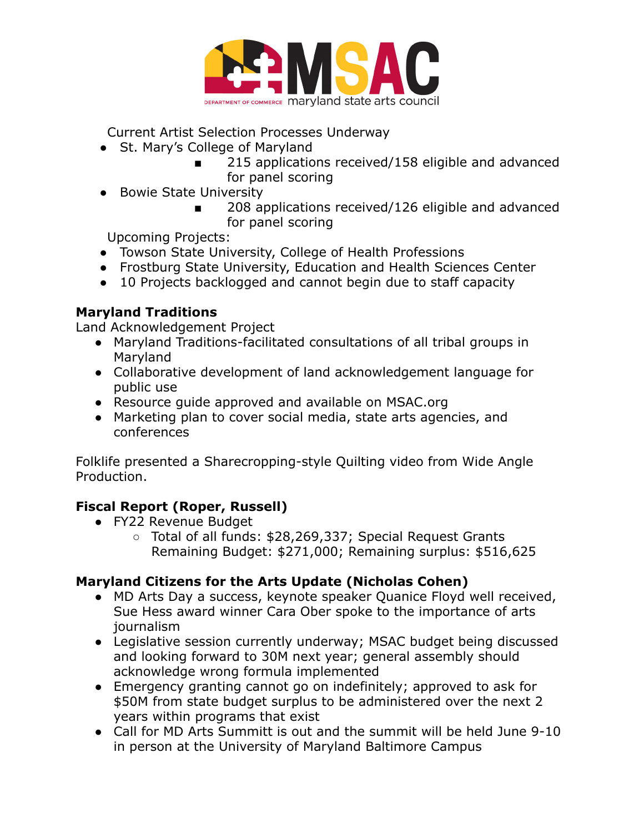

Current Artist Selection Processes Underway

- St. Mary's College of Maryland
	- 215 applications received/158 eligible and advanced for panel scoring
- Bowie State University
	- 208 applications received/126 eligible and advanced for panel scoring

Upcoming Projects:

- Towson State University, College of Health Professions
- Frostburg State University, Education and Health Sciences Center
- 10 Projects backlogged and cannot begin due to staff capacity

## **Maryland Traditions**

Land Acknowledgement Project

- Maryland Traditions-facilitated consultations of all tribal groups in Maryland
- Collaborative development of land acknowledgement language for public use
- Resource guide approved and available on MSAC.org
- Marketing plan to cover social media, state arts agencies, and conferences

Folklife presented a Sharecropping-style Quilting video from Wide Angle Production.

## **Fiscal Report (Roper, Russell)**

- FY22 Revenue Budget
	- Total of all funds: \$28,269,337; Special Request Grants Remaining Budget: \$271,000; Remaining surplus: \$516,625

## **Maryland Citizens for the Arts Update (Nicholas Cohen)**

- MD Arts Day a success, keynote speaker Quanice Floyd well received, Sue Hess award winner Cara Ober spoke to the importance of arts journalism
- Legislative session currently underway; MSAC budget being discussed and looking forward to 30M next year; general assembly should acknowledge wrong formula implemented
- Emergency granting cannot go on indefinitely; approved to ask for \$50M from state budget surplus to be administered over the next 2 years within programs that exist
- Call for MD Arts Summitt is out and the summit will be held June 9-10 in person at the University of Maryland Baltimore Campus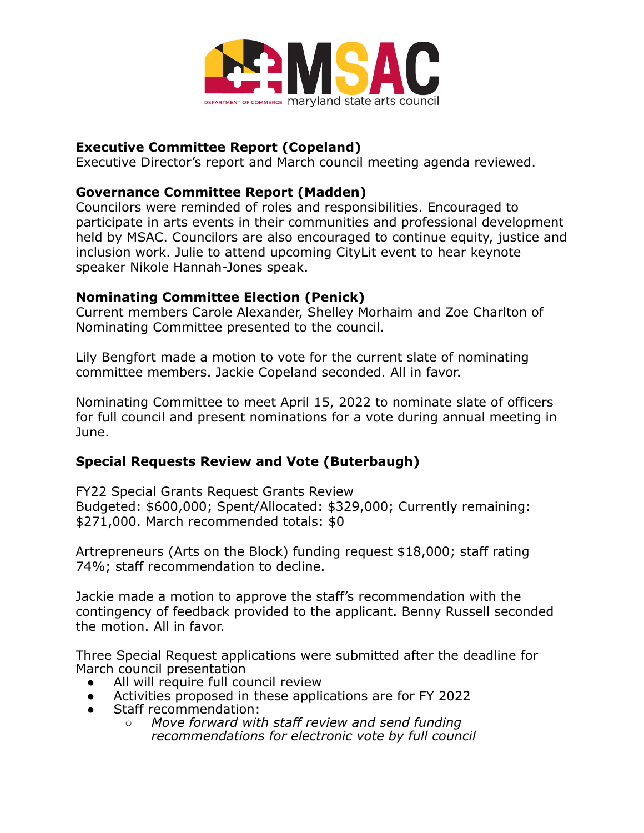

#### **Executive Committee Report (Copeland)**

Executive Director's report and March council meeting agenda reviewed.

#### **Governance Committee Report (Madden)**

Councilors were reminded of roles and responsibilities. Encouraged to participate in arts events in their communities and professional development held by MSAC. Councilors are also encouraged to continue equity, justice and inclusion work. Julie to attend upcoming CityLit event to hear keynote speaker Nikole Hannah-Jones speak.

#### **Nominating Committee Election (Penick)**

Current members Carole Alexander, Shelley Morhaim and Zoe Charlton of Nominating Committee presented to the council.

Lily Bengfort made a motion to vote for the current slate of nominating committee members. Jackie Copeland seconded. All in favor.

Nominating Committee to meet April 15, 2022 to nominate slate of officers for full council and present nominations for a vote during annual meeting in June.

## **Special Requests Review and Vote (Buterbaugh)**

FY22 Special Grants Request Grants Review Budgeted: \$600,000; Spent/Allocated: \$329,000; Currently remaining: \$271,000. March recommended totals: \$0

Artrepreneurs (Arts on the Block) funding request \$18,000; staff rating 74%; staff recommendation to decline.

Jackie made a motion to approve the staff's recommendation with the contingency of feedback provided to the applicant. Benny Russell seconded the motion. All in favor.

Three Special Request applications were submitted after the deadline for March council presentation

- All will require full council review
- Activities proposed in these applications are for FY 2022
- Staff recommendation:
	- *○ Move forward with staff review and send funding recommendations for electronic vote by full council*